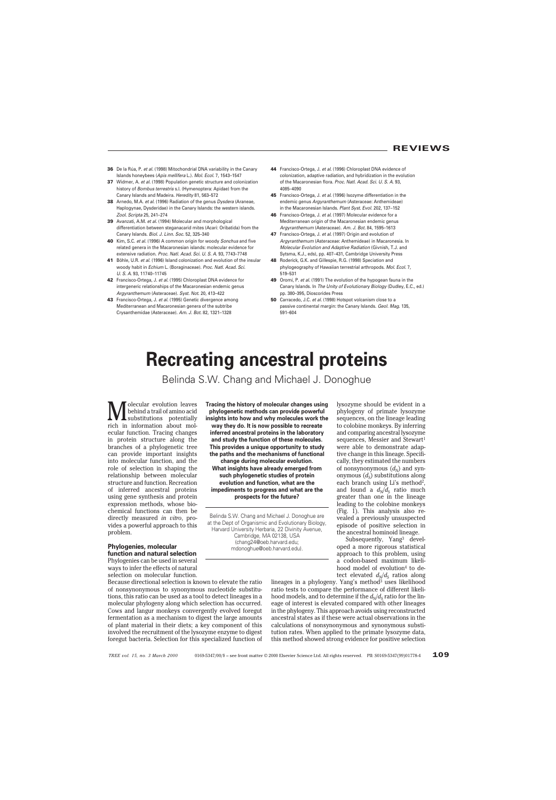- **36** De la Rúa, P. et al. (1998) Mitochondrial DNA variability in the Canary Islands honeybees (Apis mellifera L.). Mol. Ecol. 7, 1543–1547
- **37** Widmer, A. et al. (1998) Population genetic structure and colonization history of Bombus terrestris s.l. (Hymenoptera: Apidae) from the Canary Islands and Madeira. Heredity 81, 563–572
- **38** Arnedo, M.A. et al. (1996) Radiation of the genus Dysdera (Araneae, Haplogynae, Dysderidae) in the Canary Islands: the western islands. Zool. Scripta 25, 241–274
- **39** Avanzati, A.M. et al. (1994) Molecular and morphological differentiation between steganacarid mites (Acari: Oribatida) from the Canary Islands. Biol. J. Linn. Soc. 52, 325–340
- **40** Kim, S.C. et al. (1996) A common origin for woody Sonchus and five related genera in the Macaronesian islands: molecular evidence for extensive radiation. Proc. Natl. Acad. Sci. U. S. A. 93, 7743–7748
- **41** Böhle, U.R. et al. (1996) Island colonization and evolution of the insular woody habit in Echium L. (Boraginaceae). Proc. Natl. Acad. Sci. U. S. A. 93, 11740–11745
- **42** Francisco-Ortega, J. et al. (1995) Chloroplast DNA evidence for intergeneric relationships of the Macaronesian endemic genus Argyranthemum (Asteraceae). Syst. Not. 20, 413–422
- **43** Francisco-Ortega, J. et al. (1995) Genetic divergence among Mediterranean and Macaronesian genera of the subtribe Crysanthemidae (Asteraceae). Am. J. Bot. 82, 1321–1328
- **44** Francisco-Ortega, J. et al. (1996) Chloroplast DNA evidence of colonization, adaptive radiation, and hybridization in the evolution of the Macaronesian flora. Proc. Natl. Acad. Sci. U. S. A. 93, 4085–4090
- **45** Francisco-Ortega, J. et al. (1996) Isozyme differentiation in the endemic genus Argyranthemum (Asteraceae: Anthemideae) in the Macaronesian Islands. Plant Syst. Evol. 202, 137–152
- **46** Francisco-Ortega, J. et al. (1997) Molecular evidence for a Mediterranean origin of the Macaronesian endemic genus Argyranthemum (Asteraceae). Am. J. Bot. 84, 1595–1613
- **47** Francisco-Ortega, J. et al. (1997) Origin and evolution of Argyranthemum (Asteraceae: Anthemideae) in Macaronesia. In Molecular Evolution and Adaptive Radiation (Givnish, T.J. and Sytsma, K.J., eds), pp. 407–431, Cambridge University Press
- **48** Roderick, G.K. and Gillespie, R.G. (1998) Speciation and phylogeography of Hawaiian terrestrial arthropods. Mol. Ecol. 7, 519–531
- **49** Oromí, P. et al. (1991) The evolution of the hypogean fauna in the Canary Islands. In The Unity of Evolutionary Biology (Dudley, E.C., ed.) pp. 380–395, Dioscorides Press
- **50** Carracedo, J.C. et al. (1998) Hotspot volcanism close to a passive continental margin: the Canary Islands. Geol. Mag. 135, 591–604

# **Recreating ancestral proteins**

Belinda S.W. Chang and Michael J. Donoghue

**M** olecular evolution leaves<br>substitutions potentially<br>rich in information about molbehind a trail of amino acid rich in information about molecular function. Tracing changes in protein structure along the branches of a phylogenetic tree can provide important insights into molecular function, and the role of selection in shaping the relationship between molecular structure and function. Recreation of inferred ancestral proteins using gene synthesis and protein expression methods, whose biochemical functions can then be directly measured *in vitro*, provides a powerful approach to this problem.

## **Phylogenies, molecular function and natural selection**

Phylogenies can be used in several ways to infer the effects of natural selection on molecular function.

Because directional selection is known to elevate the ratio of nonsynonymous to synonymous nucleotide substitutions, this ratio can be used as a tool to detect lineages in a molecular phylogeny along which selection has occurred. Cows and langur monkeys convergently evolved foregut fermentation as a mechanism to digest the large amounts of plant material in their diets; a key component of this involved the recruitment of the lysozyme enzyme to digest foregut bacteria. Selection for this specialized function of

**Tracing the history of molecular changes using phylogenetic methods can provide powerful insights into how and why molecules work the way they do. It is now possible to recreate**

**inferred ancestral proteins in the laboratory and study the function of these molecules. This provides a unique opportunity to study the paths and the mechanisms of functional**

**change during molecular evolution. What insights have already emerged from such phylogenetic studies of protein evolution and function, what are the impediments to progress and what are the prospects for the future?**

Belinda S.W. Chang and Michael J. Donoghue are at the Dept of Organismic and Evolutionary Biology, Harvard University Herbaria, 22 Divinity Avenue, Cambridge, MA 02138, USA (chang24@oeb.harvard.edu; mdonoghue@oeb.harvard.edu).

lysozyme should be evident in a phylogeny of primate lysozyme sequences, on the lineage leading to colobine monkeys. By inferring and comparing ancestral lysozyme sequences, Messier and Stewart<sup>1</sup> were able to demonstrate adaptive change in this lineage. Specifically, they estimated the numbers of nonsynonymous  $(d<sub>N</sub>)$  and synonymous  $(d_s)$  substitutions along each branch using Li's method<sup>2</sup>, and found a  $d_N/d_S$  ratio much greater than one in the lineage leading to the colobine monkeys (Fig. 1). This analysis also revealed a previously unsuspected episode of positive selection in the ancestral hominoid lineage.

Subsequently, Yang<sup>3</sup> developed a more rigorous statistical approach to this problem, using a codon-based maximum likelihood model of evolution<sup>4</sup> to detect elevated  $d_N/d_S$  ratios along

lineages in a phylogeny. Yang's method<sup>3</sup> uses likelihood ratio tests to compare the performance of different likelihood models, and to determine if the  $d_N/d_S$  ratio for the lineage of interest is elevated compared with other lineages in the phylogeny. This approach avoids using reconstructed ancestral states as if these were actual observations in the calculations of nonsynonymous and synonymous substitution rates. When applied to the primate lysozyme data, this method showed strong evidence for positive selection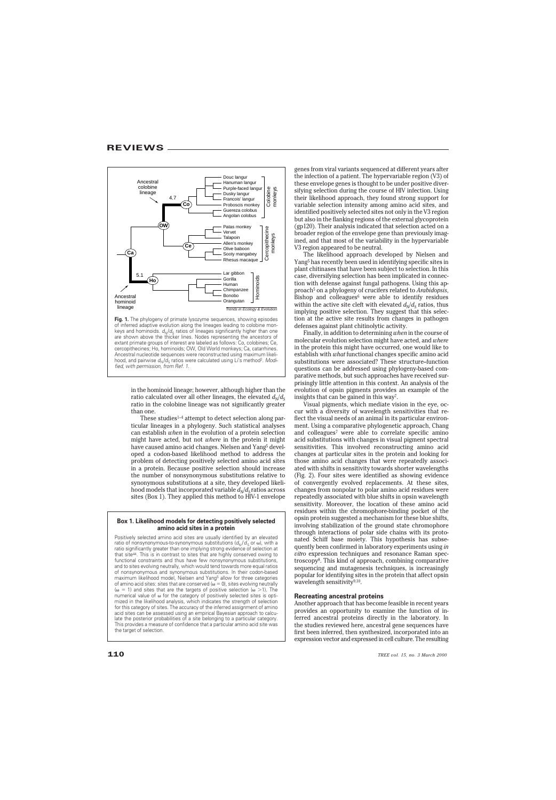

Fig. 1. The phylogeny of primate lysozyme sequences, showing episodes of inferred adaptive evolution along the lineages leading to colobine monkeys and hominoids.  $d_N/d_S$  ratios of lineages significantly higher than one are shown above the thicker lines. Nodes representing the ancestors of extant primate groups of interest are labeled as follows: Co, colobines; Ce, cercopithecines; Ho, hominoids; OW, Old World monkeys; Ca, catarrhines. Ancestral nucleotide sequences were reconstructed using maximum likelihood, and pairwise  $d_N/d_S$  ratios were calculated using Li's method<sup>2</sup>. Modified, with permission, from Ref. 1.

in the hominoid lineage; however, although higher than the ratio calculated over all other lineages, the elevated  $d_N/d_S$ ratio in the colobine lineage was not significantly greater than one.

These studies<sup>1-4</sup> attempt to detect selection along particular lineages in a phylogeny. Such statistical analyses can establish *when* in the evolution of a protein selection might have acted, but not *where* in the protein it might have caused amino acid changes. Nielsen and Yang<sup>5</sup> developed a codon-based likelihood method to address the problem of detecting positively selected amino acid sites in a protein. Because positive selection should increase the number of nonsynonymous substitutions relative to synonymous substitutions at a site, they developed likelihood models that incorporated variable  $d_N/d_S$  ratios across sites (Box 1). They applied this method to HIV-1 envelope

#### **Box 1. Likelihood models for detecting positively selected amino acid sites in a protein**

Positively selected amino acid sites are usually identified by an elevated ratio of nonsynonymous-to-synonymous substitutions  $(d_N / d_S)$  or  $\omega$ ), with a ratio significantly greater than one implying strong evidence of selection at that site44. This is in contrast to sites that are highly conserved owing to functional constraints and thus have few nonsynonymous substitutions, and to sites evolving neutrally, which would tend towards more equal ratios of nonsynonymous and synonymous substitutions. In their codon-based maximum likelihood model, Nielsen and Yang<sup>5</sup> allow for three categories of amino acid sites: sites that are conserved ( $\omega = 0$ ), sites evolving neutrally ( $\omega$  = 1) and sites that are the targets of positive selection ( $\omega$  >1). The numerical value of  $\omega$  for the category of positively selected sites is optimized in the likelihood analysis, which indicates the strength of selection for this category of sites. The accuracy of the inferred assignment of amino acid sites can be assessed using an empirical Bayesian approach to calculate the posterior probabilities of a site belonging to a particular category. This provides a measure of confidence that a particular amino acid site was the target of selection.

genes from viral variants sequenced at different years after the infection of a patient. The hypervariable region (V3) of these envelope genes is thought to be under positive diversifying selection during the course of HIV infection. Using their likelihood approach, they found strong support for variable selection intensity among amino acid sites, and identified positively selected sites not only in the V3 region but also in the flanking regions of the external glycoprotein (gp120). Their analysis indicated that selection acted on a broader region of the envelope gene than previously imagined, and that most of the variability in the hypervariable V3 region appeared to be neutral.

The likelihood approach developed by Nielsen and Yang5 has recently been used in identifying specific sites in plant chitinases that have been subject to selection. In this case, diversifying selection has been implicated in connection with defense against fungal pathogens. Using this approach5 on a phylogeny of crucifers related to *Arabidopsis*, Bishop and colleagues $6$  were able to identify residues within the active site cleft with elevated  $d_N/d_S$  ratios, thus implying positive selection. They suggest that this selection at the active site results from changes in pathogen defenses against plant chitinolytic activity.

Finally, in addition to determining *when* in the course of molecular evolution selection might have acted, and *where* in the protein this might have occurred, one would like to establish with *what* functional changes specific amino acid substitutions were associated? These structure–function questions can be addressed using phylogeny-based comparative methods, but such approaches have received surprisingly little attention in this context. An analysis of the evolution of opsin pigments provides an example of the insights that can be gained in this way7.

Visual pigments, which mediate vision in the eye, occur with a diversity of wavelength sensitivities that reflect the visual needs of an animal in its particular environment. Using a comparative phylogenetic approach, Chang and colleagues<sup>7</sup> were able to correlate specific amino acid substitutions with changes in visual pigment spectral sensitivities. This involved reconstructing amino acid changes at particular sites in the protein and looking for those amino acid changes that were repeatedly associated with shifts in sensitivity towards shorter wavelengths (Fig. 2). Four sites were identified as showing evidence of convergently evolved replacements. At these sites, changes from nonpolar to polar amino acid residues were repeatedly associated with blue shifts in opsin wavelength sensitivity. Moreover, the location of these amino acid residues within the chromophore-binding pocket of the opsin protein suggested a mechanism for these blue shifts, involving stabilization of the ground state chromophore through interactions of polar side chains with its protonated Schiff base moiety. This hypothesis has subsequently been confirmed in laboratory experiments using *in vitro* expression techniques and resonance Raman spectroscopy8. This kind of approach, combining comparative sequencing and mutagenesis techniques, is increasingly popular for identifying sites in the protein that affect opsin wavelength sensitivity $9,10$ .

## **Recreating ancestral proteins**

Another approach that has become feasible in recent years provides an opportunity to examine the function of inferred ancestral proteins directly in the laboratory. In the studies reviewed here, ancestral gene sequences have first been inferred, then synthesized, incorporated into an expression vector and expressed in cell culture. The resulting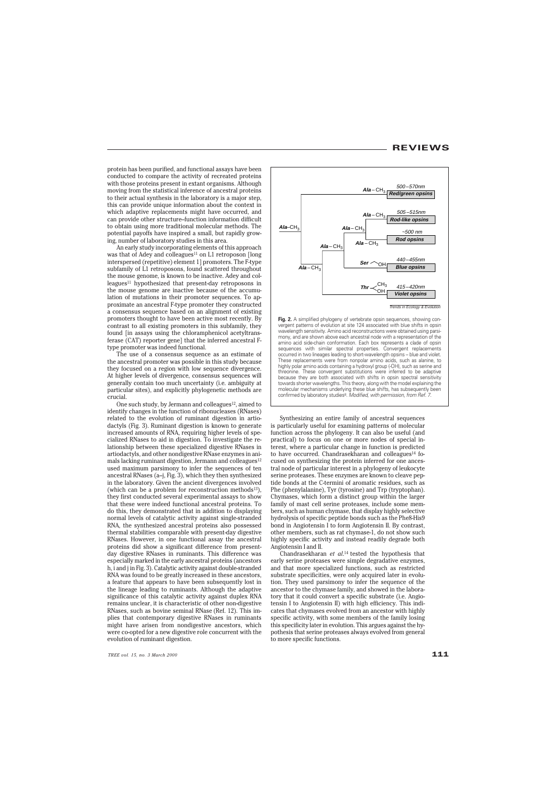protein has been purified, and functional assays have been conducted to compare the activity of recreated proteins with those proteins present in extant organisms. Although moving from the statistical inference of ancestral proteins to their actual synthesis in the laboratory is a major step, this can provide unique information about the context in which adaptive replacements might have occurred, and can provide other structure–function information difficult to obtain using more traditional molecular methods. The potential payoffs have inspired a small, but rapidly growing, number of laboratory studies in this area.

An early study incorporating elements of this approach was that of Adey and colleagues<sup>11</sup> on L1 retroposon [long interspersed (repetitive) element 1] promoters. The F-type subfamily of L1 retroposons, found scattered throughout the mouse genome, is known to be inactive. Adey and colleagues<sup>11</sup> hypothesized that present-day retroposons in the mouse genome are inactive because of the accumulation of mutations in their promoter sequences. To approximate an ancestral F-type promoter they constructed a consensus sequence based on an alignment of existing promoters thought to have been active most recently. By contrast to all existing promoters in this subfamily, they found [in assays using the chloramphenicol acetyltransferase (CAT) reporter gene] that the inferred ancestral Ftype promoter was indeed functional.

The use of a consensus sequence as an estimate of the ancestral promoter was possible in this study because they focused on a region with low sequence divergence. At higher levels of divergence, consensus sequences will generally contain too much uncertainty (i.e. ambiguity at particular sites), and explicitly phylogenetic methods are crucial.

One such study, by Jermann and colleagues<sup>12</sup>, aimed to identify changes in the function of ribonucleases (RNases) related to the evolution of ruminant digestion in artiodactyls (Fig. 3). Ruminant digestion is known to generate increased amounts of RNA, requiring higher levels of specialized RNases to aid in digestion. To investigate the relationship between these specialized digestive RNases in artiodactyls, and other nondigestive RNase enzymes in animals lacking ruminant digestion, Jermann and colleagues<sup>12</sup> used maximum parsimony to infer the sequences of ten ancestral RNases (a–j, Fig. 3), which they then synthesized in the laboratory. Given the ancient divergences involved (which can be a problem for reconstruction methods<sup>13</sup>), they first conducted several experimental assays to show that these were indeed functional ancestral proteins. To do this, they demonstrated that in addition to displaying normal levels of catalytic activity against single-stranded RNA, the synthesized ancestral proteins also possessed thermal stabilities comparable with present-day digestive RNases. However, in one functional assay the ancestral proteins did show a significant difference from presentday digestive RNases in ruminants. This difference was especially marked in the early ancestral proteins (ancestors h, i and j in Fig. 3). Catalytic activity against double-stranded RNA was found to be greatly increased in these ancestors, a feature that appears to have been subsequently lost in the lineage leading to ruminants. Although the adaptive significance of this catalytic activity against duplex RNA remains unclear, it is characteristic of other non-digestive RNases, such as bovine seminal RNase (Ref. 12). This implies that contemporary digestive RNases in ruminants might have arisen from nondigestive ancestors, which were co-opted for a new digestive role concurrent with the evolution of ruminant digestion.



Fig. 2. A simplified phylogeny of vertebrate opsin sequences, showing convergent patterns of evolution at site 124 associated with blue shifts in opsin wavelength sensitivity. Amino acid reconstructions were obtained using parsimony, and are shown above each ancestral node with a representation of the amino acid side-chain conformation. Each box represents a clade of opsin sequences with similar spectral properties. Convergent replacements occurred in two lineages leading to short-wavelength opsins – blue and violet. These replacements were from nonpolar amino acids, such as alanine, to highly polar amino acids containing a hydroxyl group (-OH), such as serine and threonine. These convergent substitutions were inferred to be adaptive because they are both associated with shifts in opsin spectral sensitivity towards shorter wavelengths. This theory, along with the model explaining the molecular mechanisms underlying these blue shifts, has subsequently been confirmed by laboratory studies<sup>8</sup>. Modified, with permission, from Ref. 7.

Synthesizing an entire family of ancestral sequences is particularly useful for examining patterns of molecular function across the phylogeny. It can also be useful (and practical) to focus on one or more nodes of special interest, where a particular change in function is predicted to have occurred. Chandrasekharan and colleagues<sup>14</sup> focused on synthesizing the protein inferred for one ancestral node of particular interest in a phylogeny of leukocyte serine proteases. These enzymes are known to cleave peptide bonds at the C-termini of aromatic residues, such as Phe (phenylalanine), Tyr (tyrosine) and Trp (tryptophan). Chymases, which form a distinct group within the larger family of mast cell serine proteases, include some members, such as human chymase, that display highly selective hydrolysis of specific peptide bonds such as the Phe8-His9 bond in Angiotensin I to form Angiotensin II. By contrast, other members, such as rat chymase-1, do not show such highly specific activity and instead readily degrade both Angiotensin I and II.

Chandrasekharan *et al*.14 tested the hypothesis that early serine proteases were simple degradative enzymes, and that more specialized functions, such as restricted substrate specificities, were only acquired later in evolution. They used parsimony to infer the sequence of the ancestor to the chymase family, and showed in the laboratory that it could convert a specific substrate (i.e. Angiotensin I to Angiotensin II) with high efficiency. This indicates that chymases evolved from an ancestor with highly specific activity, with some members of the family losing this specificity later in evolution. This argues against the hypothesis that serine proteases always evolved from general to more specific functions.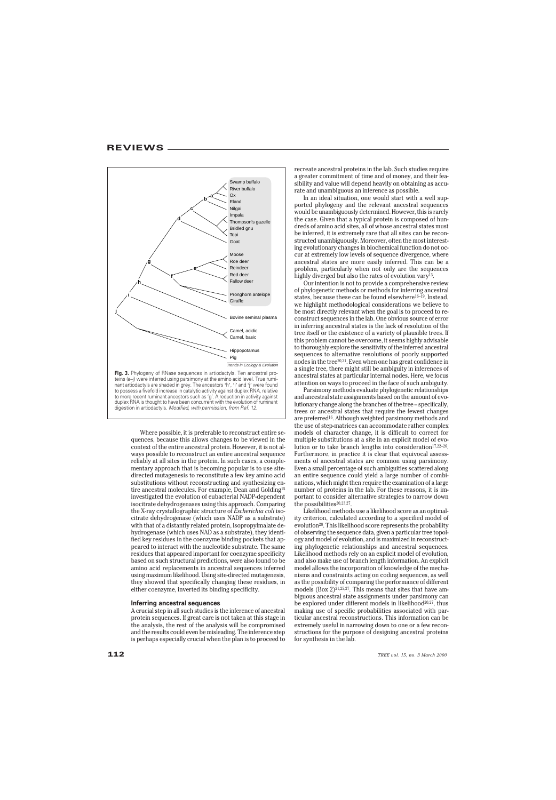

to more recent ruminant ancestors such as 'g'. A reduction in activity against duplex RNA is thought to have been concurrent with the evolution of ruminant digestion in artiodactyls. Modified, with permission, from Ref. 12.

Where possible, it is preferable to reconstruct entire sequences, because this allows changes to be viewed in the context of the entire ancestral protein. However, it is not always possible to reconstruct an entire ancestral sequence reliably at all sites in the protein. In such cases, a complementary approach that is becoming popular is to use sitedirected mutagenesis to reconstitute a few key amino acid substitutions without reconstructing and synthesizing entire ancestral molecules. For example, Dean and Golding15 investigated the evolution of eubacterial NADP-dependent isocitrate dehydrogenases using this approach. Comparing the X-ray crystallographic structure of *Escherichia coli* isocitrate dehydrogenase (which uses NADP as a substrate) with that of a distantly related protein, isopropylmalate dehydrogenase (which uses NAD as a substrate), they identified key residues in the coenzyme binding pockets that appeared to interact with the nucleotide substrate. The same residues that appeared important for coenzyme specificity based on such structural predictions, were also found to be amino acid replacements in ancestral sequences inferred using maximum likelihood. Using site-directed mutagenesis, they showed that specifically changing these residues, in either coenzyme, inverted its binding specificity.

## **Inferring ancestral sequences**

A crucial step in all such studies is the inference of ancestral protein sequences. If great care is not taken at this stage in the analysis, the rest of the analysis will be compromised and the results could even be misleading. The inference step is perhaps especially crucial when the plan is to proceed to recreate ancestral proteins in the lab. Such studies require a greater commitment of time and of money, and their feasibility and value will depend heavily on obtaining as accurate and unambiguous an inference as possible.

In an ideal situation, one would start with a well supported phylogeny and the relevant ancestral sequences would be unambiguously determined. However, this is rarely the case. Given that a typical protein is composed of hundreds of amino acid sites, all of whose ancestral states must be inferred, it is extremely rare that all sites can be reconstructed unambiguously. Moreover, often the most interesting evolutionary changes in biochemical function do not occur at extremely low levels of sequence divergence, where ancestral states are more easily inferred. This can be a problem, particularly when not only are the sequences highly diverged but also the rates of evolution vary13.

Our intention is not to provide a comprehensive review of phylogenetic methods or methods for inferring ancestral states, because these can be found elsewhere16–19. Instead, we highlight methodological considerations we believe to be most directly relevant when the goal is to proceed to reconstruct sequences in the lab. One obvious source of error in inferring ancestral states is the lack of resolution of the tree itself or the existence of a variety of plausible trees. If this problem cannot be overcome, it seems highly advisable to thoroughly explore the sensitivity of the inferred ancestral sequences to alternative resolutions of poorly supported nodes in the tree20,21. Even when one has great confidence in a single tree, there might still be ambiguity in inferences of ancestral states at particular internal nodes. Here, we focus attention on ways to proceed in the face of such ambiguity.

Parsimony methods evaluate phylogenetic relationships and ancestral state assignments based on the amount of evolutionary change along the branches of the tree – specifically, trees or ancestral states that require the fewest changes are preferred16. Although weighted parsimony methods and the use of step-matrices can accommodate rather complex models of character change, it is difficult to correct for multiple substitutions at a site in an explicit model of evolution or to take branch lengths into consideration<sup>17,22-26</sup>. Furthermore, in practice it is clear that equivocal assessments of ancestral states are common using parsimony. Even a small percentage of such ambiguities scattered along an entire sequence could yield a large number of combinations, which might then require the examination of a large number of proteins in the lab. For these reasons, it is important to consider alternative strategies to narrow down the possibilities $20,23,27$ .

Likelihood methods use a likelihood score as an optimality criterion, calculated according to a specified model of evolution28. This likelihood score represents the probability of observing the sequence data, given a particular tree topology and model of evolution, and is maximized in reconstructing phylogenetic relationships and ancestral sequences. Likelihood methods rely on an explicit model of evolution, and also make use of branch length information. An explicit model allows the incorporation of knowledge of the mechanisms and constraints acting on coding sequences, as well as the possibility of comparing the performance of different models  $(Box 2)^{21,25,27}$ . This means that sites that have ambiguous ancestral state assignments under parsimony can be explored under different models in likelihood<sup>20,27</sup>, thus making use of specific probabilities associated with particular ancestral reconstructions. This information can be extremely useful in narrowing down to one or a few reconstructions for the purpose of designing ancestral proteins for synthesis in the lab.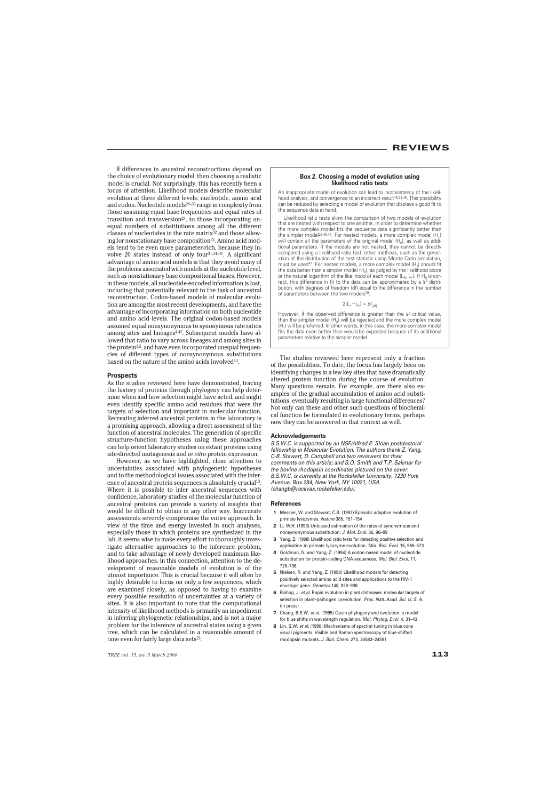If differences in ancestral reconstructions depend on the choice of evolutionary model, then choosing a realistic model is crucial. Not surprisingly, this has recently been a focus of attention. Likelihood models describe molecular evolution at three different levels: nucleotide, amino acid and codon. Nucleotide models<sup>28–33</sup> range in complexity from those assuming equal base frequencies and equal rates of transition and transversion<sup>29</sup>, to those incorporating unequal numbers of substitutions among all the different classes of nucleotides in the rate matrix32 and those allowing for nonstationary base composition<sup>33</sup>. Amino acid models tend to be even more parameter-rich, because they involve 20 states instead of only four31,34–41. A significant advantage of amino acid models is that they avoid many of the problems associated with models at the nucleotide level, such as nonstationary base compositional biases. However, in these models, all nucleotide-encoded information is lost, including that potentially relevant to the task of ancestral reconstruction. Codon-based models of molecular evolution are among the most recent developments, and have the advantage of incorporating information on both nucleotide and amino acid levels. The original codon-based models assumed equal nonsynonymous to synonymous rate ratios among sites and lineages<sup>4,42</sup>. Subsequent models have allowed that ratio to vary across lineages and among sites in the protein<sup>3,5</sup>, and have even incorporated unequal frequencies of different types of nonsynonymous substitutions based on the nature of the amino acids involved<sup>43</sup>.

#### **Prospects**

As the studies reviewed here have demonstrated, tracing the history of proteins through phylogeny can help determine when and how selection might have acted, and might even identify specific amino acid residues that were the targets of selection and important in molecular function. Recreating inferred ancestral proteins in the laboratory is a promising approach, allowing a direct assessment of the function of ancestral molecules. The generation of specific structure–function hypotheses using these approaches can help orient laboratory studies on extant proteins using site-directed mutagenesis and *in vitro* protein expression.

However, as we have highlighted, close attention to uncertainties associated with phylogenetic hypotheses and to the methodological issues associated with the inference of ancestral protein sequences is absolutely crucial<sup>13</sup>. Where it is possible to infer ancestral sequences with confidence, laboratory studies of the molecular function of ancestral proteins can provide a variety of insights that would be difficult to obtain in any other way. Inaccurate assessments severely compromise the entire approach. In view of the time and energy invested in such analyses, especially those in which proteins are synthesized in the lab, it seems wise to make every effort to thoroughly investigate alternative approaches to the inference problem, and to take advantage of newly developed maximum likelihood approaches. In this connection, attention to the development of reasonable models of evolution is of the utmost importance. This is crucial because it will often be highly desirable to focus on only a few sequences, which are examined closely, as opposed to having to examine every possible resolution of uncertainties at a variety of sites. It is also important to note that the computational intensity of likelihood methods is primarily an impediment in inferring phylogenetic relationships, and is not a major problem for the inference of ancestral states using a given tree, which can be calculated in a reasonable amount of time even for fairly large data sets $23$ .

#### **Box 2. Choosing a model of evolution using likelihood ratio tests**

An inappropriate model of evolution can lead to inconsistency of the likelihood analysis, and convergence to an incorrect result<sup>16,24,45</sup>. This possibility can be reduced by selecting a model of evolution that displays a good fit to the sequence data at hand.

Likelihood ratio tests allow the comparison of two models of evolution that are nested with respect to one another, in order to determine whether the more complex model fits the sequence data significantly better than the simpler model<sup>28,46,47</sup>. For nested models, a more complex model  $(H_1)$ will contain all the parameters of the original model  $(H_0)$ , as well as additional parameters. If the models are not nested, they cannot be directly compared using a likelihood ratio test; other methods, such as the generation of the distribution of the test statistic using Monte Carlo simulation, must be used<sup>47</sup>. For nested models, a more complex model  $(H_1)$  should fit the data better than a simpler model  $(H_0)$ , as judged by the likelihood score or the natural logarithm of the likelihood of each model ( $L_0$ ,  $L_1$ ). If H<sub>0</sub> is correct, this difference in fit to the data can be approximated by a  $\chi^2$  distribution, with degrees of freedom (df) equal to the difference in the number of parameters between the two models<sup>48</sup>:

 $2(L_1 - L_0) = \chi^2_{\text{[df]}}$ 

However, if the observed difference is greater than the  $\chi^2$  critical value, then the simpler model  $(H_0)$  will be rejected and the more complex model  $(H<sub>1</sub>)$  will be preferred. In other words, in this case, the more complex model fits the data even better than would be expected because of its additional parameters relative to the simpler model.

The studies reviewed here represent only a fraction of the possibilities. To date, the focus has largely been on identifying changes in a few key sites that have dramatically altered protein function during the course of evolution. Many questions remain. For example, are there also examples of the gradual accumulation of amino acid substitutions, eventually resulting in large functional differences? Not only can these and other such questions of biochemical function be formulated in evolutionary terms, perhaps now they can be answered in that context as well.

#### **Acknowledgements**

B.S.W.C. is supported by an NSF/Alfred P. Sloan postdoctoral fellowship in Molecular Evolution. The authors thank Z. Yang, C-B. Stewart, D. Campbell and two reviewers for their comments on this article; and S.O. Smith and T.P. Sakmar for the bovine rhodopsin coordinates pictured on the cover. B.S.W.C. is currently at the Rockefeller University, 1230 York Avenue, Box 284, New York, NY 10021, USA (changb@rockvax.rockefeller.edu).

#### **References**

- **1** Messier, W. and Stewart, C.B. (1997) Episodic adaptive evolution of primate lysozymes. Nature 385, 151–154
- **2** Li, W.H. (1993) Unbiased estimation of the rates of synonymous and nonsynonymous substitution. J. Mol. Evol. 36, 96–99
- **3** Yang, Z. (1998) Likelihood ratio tests for detecting positive selection and application to primate lysozyme evolution. Mol. Biol. Evol. 15, 568–573
- **4** Goldman, N. and Yang, Z. (1994) A codon-based model of nucleotide substitution for protein-coding DNA sequences. Mol. Biol. Evol. 11, 725–736
- **5** Nielsen, R. and Yang, Z. (1998) Likelihood models for detecting positively selected amino acid sites and applications to the HIV-1 envelope gene. Genetics 148, 929–936
- **6** Bishop, J. et al. Rapid evolution in plant chitinases: molecular targets of selection in plant-pathogen coevolution. Proc. Natl. Acad. Sci. U. S. A. (in press)
- **7** Chang, B.S.W. et al. (1995) Opsin phylogeny and evolution: a model for blue shifts in wavelength regulation. Mol. Phylog. Evol. 4, 31–43
- **8** Lin, S.W. et al. (1998) Mechanisms of spectral tuning in blue cone visual pigments. Visible and Raman spectroscopy of blue-shifted rhodopsin mutants. J. Biol. Chem. 273, 24583–24591